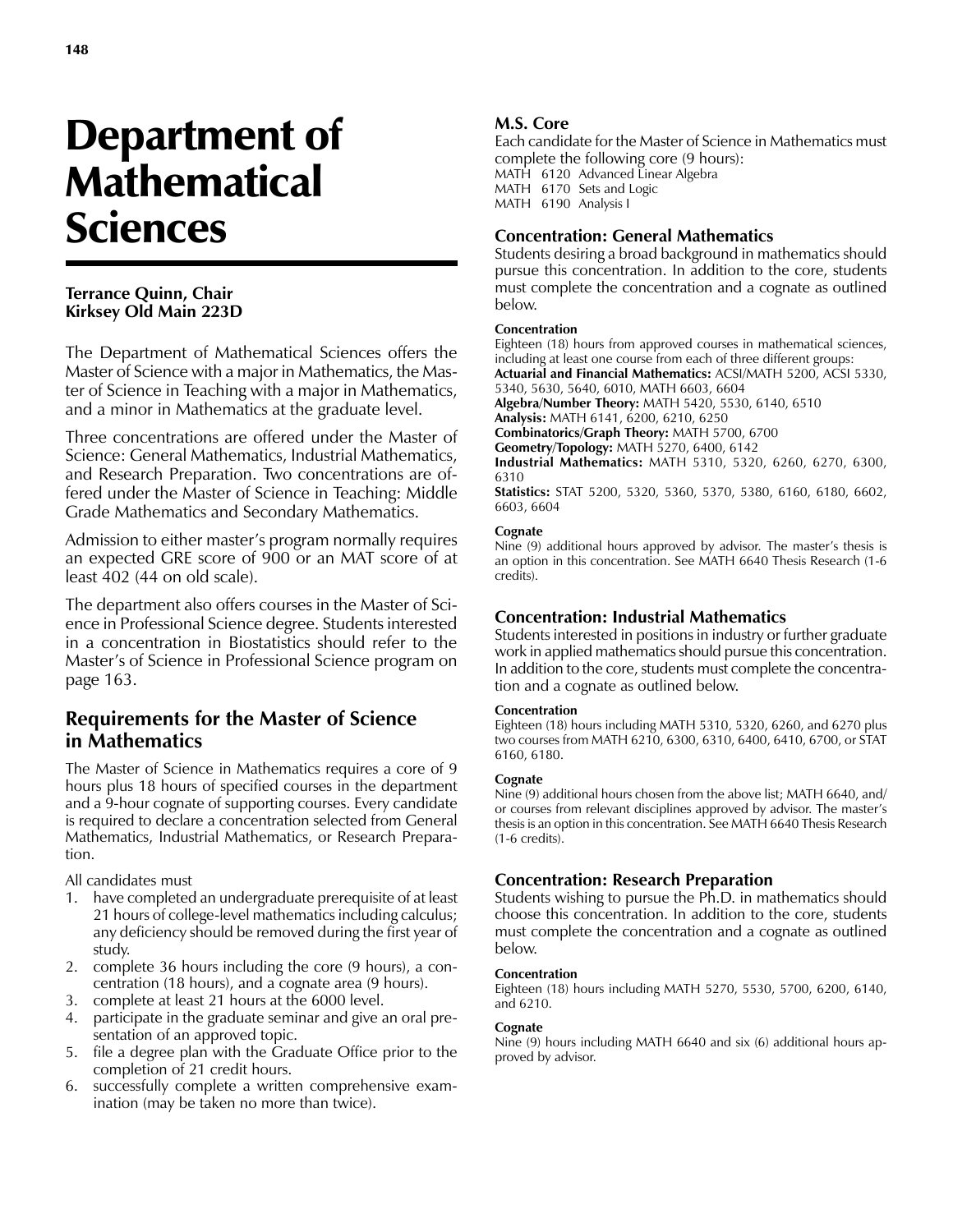# Department of **Mathematical** Sciences

## **Terrance Quinn, Chair Kirksey Old Main 223D**

The Department of Mathematical Sciences offers the Master of Science with a major in Mathematics, the Master of Science in Teaching with a major in Mathematics, and a minor in Mathematics at the graduate level.

Three concentrations are offered under the Master of Science: General Mathematics, Industrial Mathematics, and Research Preparation. Two concentrations are offered under the Master of Science in Teaching: Middle Grade Mathematics and Secondary Mathematics.

Admission to either master's program normally requires an expected GRE score of 900 or an MAT score of at least 402 (44 on old scale).

The department also offers courses in the Master of Science in Professional Science degree. Students interested in a concentration in Biostatistics should refer to the Master's of Science in Professional Science program on page 163.

# **Requirements for the Master of Science in Mathematics**

The Master of Science in Mathematics requires a core of 9 hours plus 18 hours of specified courses in the department and a 9-hour cognate of supporting courses. Every candidate is required to declare a concentration selected from General Mathematics, Industrial Mathematics, or Research Preparation.

All candidates must

- 1. have completed an undergraduate prerequisite of at least 21 hours of college-level mathematics including calculus; any deficiency should be removed during the first year of study.
- 2. complete 36 hours including the core (9 hours), a concentration (18 hours), and a cognate area (9 hours).
- 3. complete at least 21 hours at the 6000 level.
- 4. participate in the graduate seminar and give an oral presentation of an approved topic.
- 5. file a degree plan with the Graduate Office prior to the completion of 21 credit hours.
- 6. successfully complete a written comprehensive examination (may be taken no more than twice).

## **M.S. Core**

Each candidate for the Master of Science in Mathematics must complete the following core (9 hours): MATH 6120 Advanced Linear Algebra MATH 6170 Sets and Logic MATH 6190 Analysis I

## **Concentration: General Mathematics**

Students desiring a broad background in mathematics should pursue this concentration. In addition to the core, students must complete the concentration and a cognate as outlined below.

#### **Concentration**

Eighteen (18) hours from approved courses in mathematical sciences, including at least one course from each of three different groups: **Actuarial and Financial Mathematics:** ACSI/MATH 5200, ACSI 5330, 5340, 5630, 5640, 6010, MATH 6603, 6604 **Algebra/Number Theory:** MATH 5420, 5530, 6140, 6510 **Analysis:** MATH 6141, 6200, 6210, 6250 **Combinatorics/Graph Theory:** MATH 5700, 6700 **Geometry/Topology:** MATH 5270, 6400, 6142 **Industrial Mathematics:** MATH 5310, 5320, 6260, 6270, 6300, 6310

**Statistics:** STAT 5200, 5320, 5360, 5370, 5380, 6160, 6180, 6602, 6603, 6604

#### **Cognate**

Nine (9) additional hours approved by advisor. The master's thesis is an option in this concentration. See MATH 6640 Thesis Research (1-6 credits).

## **Concentration: Industrial Mathematics**

Students interested in positions in industry or further graduate work in applied mathematics should pursue this concentration. In addition to the core, students must complete the concentration and a cognate as outlined below.

#### **Concentration**

Eighteen (18) hours including MATH 5310, 5320, 6260, and 6270 plus two courses from MATH 6210, 6300, 6310, 6400, 6410, 6700, or STAT 6160, 6180.

#### **Cognate**

Nine (9) additional hours chosen from the above list; MATH 6640, and/ or courses from relevant disciplines approved by advisor. The master's thesis is an option in this concentration. See MATH 6640 Thesis Research (1-6 credits).

## **Concentration: Research Preparation**

Students wishing to pursue the Ph.D. in mathematics should choose this concentration. In addition to the core, students must complete the concentration and a cognate as outlined below.

#### **Concentration**

Eighteen (18) hours including MATH 5270, 5530, 5700, 6200, 6140, and 6210.

## **Cognate**

Nine (9) hours including MATH 6640 and six (6) additional hours approved by advisor.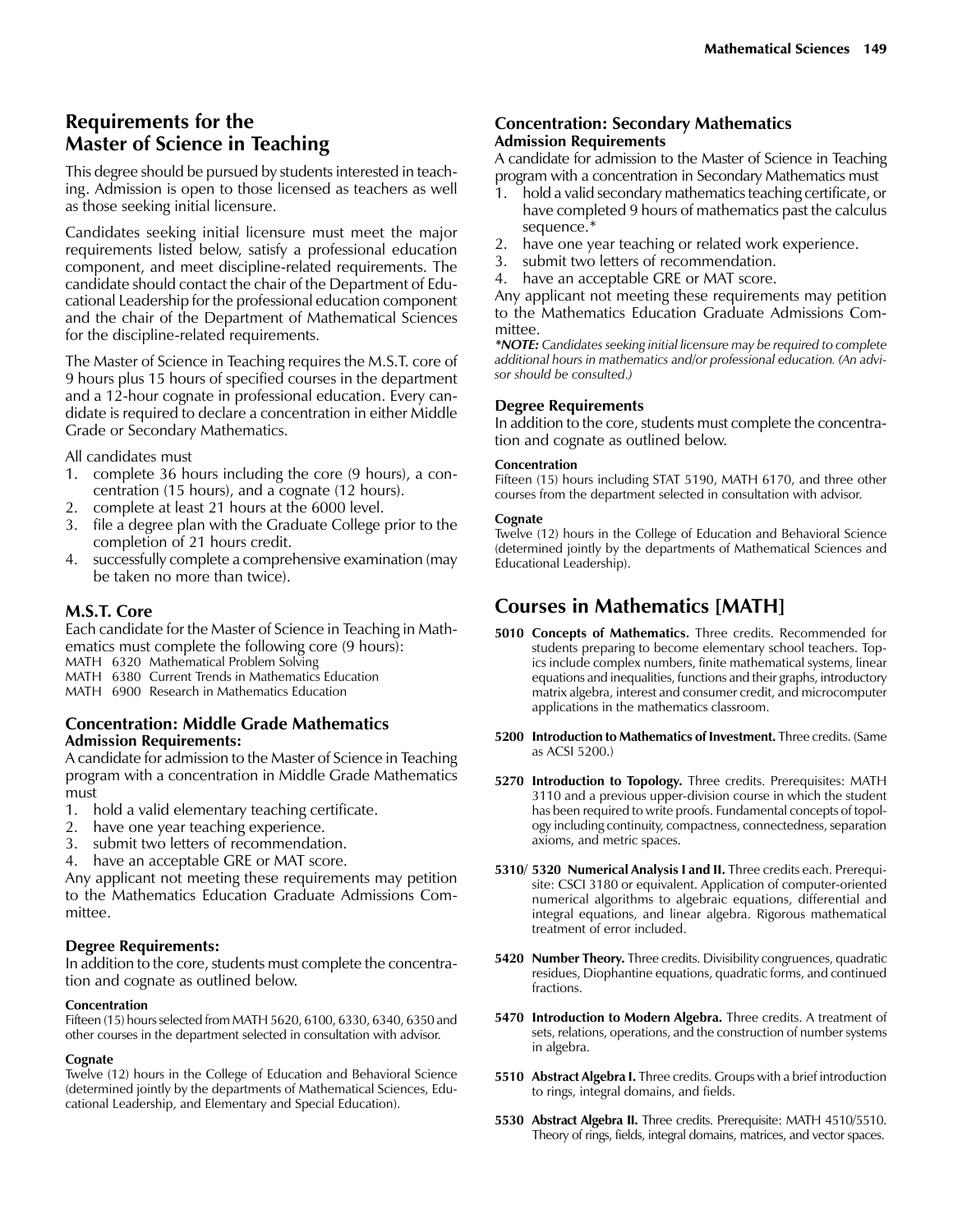# **Requirements for the Master of Science in Teaching**

This degree should be pursued by students interested in teaching. Admission is open to those licensed as teachers as well as those seeking initial licensure.

Candidates seeking initial licensure must meet the major requirements listed below, satisfy a professional education component, and meet discipline-related requirements. The candidate should contact the chair of the Department of Educational Leadership for the professional education component and the chair of the Department of Mathematical Sciences for the discipline-related requirements.

The Master of Science in Teaching requires the M.S.T. core of 9 hours plus 15 hours of specified courses in the department and a 12-hour cognate in professional education. Every candidate is required to declare a concentration in either Middle Grade or Secondary Mathematics.

All candidates must

- 1. complete 36 hours including the core (9 hours), a concentration (15 hours), and a cognate (12 hours).
- 2. complete at least 21 hours at the 6000 level.
- 3. file a degree plan with the Graduate College prior to the completion of 21 hours credit.
- 4. successfully complete a comprehensive examination (may be taken no more than twice).

## **M.S.T. Core**

Each candidate for the Master of Science in Teaching in Mathematics must complete the following core (9 hours): MATH 6320 Mathematical Problem Solving

- MATH 6380 Current Trends in Mathematics Education
- MATH 6900 Research in Mathematics Education

## **Concentration: Middle Grade Mathematics Admission Requirements:**

A candidate for admission to the Master of Science in Teaching program with a concentration in Middle Grade Mathematics must

- 1. hold a valid elementary teaching certificate.
- 2. have one year teaching experience.
- 3. submit two letters of recommendation.
- 4. have an acceptable GRE or MAT score.

Any applicant not meeting these requirements may petition to the Mathematics Education Graduate Admissions Committee.

## **Degree Requirements:**

In addition to the core, students must complete the concentration and cognate as outlined below.

## **Concentration**

Fifteen (15) hours selected from MATH 5620, 6100, 6330, 6340, 6350 and other courses in the department selected in consultation with advisor.

## **Cognate**

Twelve (12) hours in the College of Education and Behavioral Science (determined jointly by the departments of Mathematical Sciences, Educational Leadership, and Elementary and Special Education).

## **Concentration: Secondary Mathematics Admission Requirements**

A candidate for admission to the Master of Science in Teaching program with a concentration in Secondary Mathematics must

- hold a valid secondary mathematics teaching certificate, or have completed 9 hours of mathematics past the calculus sequence.\*
- 2. have one year teaching or related work experience.
- 3. submit two letters of recommendation.
- 4. have an acceptable GRE or MAT score.

Any applicant not meeting these requirements may petition to the Mathematics Education Graduate Admissions Committee.

*\*NOTE: Candidates seeking initial licensure may be required to complete additional hours in mathematics and/or professional education. (An advisor should be consulted.)*

## **Degree Requirements**

In addition to the core, students must complete the concentration and cognate as outlined below.

#### **Concentration**

Fifteen (15) hours including STAT 5190, MATH 6170, and three other courses from the department selected in consultation with advisor.

#### **Cognate**

Twelve (12) hours in the College of Education and Behavioral Science (determined jointly by the departments of Mathematical Sciences and Educational Leadership).

# **Courses in Mathematics [MATH]**

- **5010 Concepts of Mathematics.** Three credits. Recommended for students preparing to become elementary school teachers. Topics include complex numbers, finite mathematical systems, linear equations and inequalities, functions and their graphs, introductory matrix algebra, interest and consumer credit, and microcomputer applications in the mathematics classroom.
- **5200 Introduction to Mathematics of Investment.** Three credits. (Same as ACSI 5200.)
- **5270 Introduction to Topology.** Three credits. Prerequisites: MATH 3110 and a previous upper-division course in which the student has been required to write proofs. Fundamental concepts of topology including continuity, compactness, connectedness, separation axioms, and metric spaces.
- **5310/ 5320 Numerical Analysis I and II.** Three credits each. Prerequisite: CSCI 3180 or equivalent. Application of computer-oriented numerical algorithms to algebraic equations, differential and integral equations, and linear algebra. Rigorous mathematical treatment of error included.
- **5420 Number Theory.** Three credits. Divisibility congruences, quadratic residues, Diophantine equations, quadratic forms, and continued fractions.
- **5470 Introduction to Modern Algebra.** Three credits. A treatment of sets, relations, operations, and the construction of number systems in algebra.
- **5510 Abstract Algebra I.** Three credits. Groups with a brief introduction to rings, integral domains, and fields.
- **5530 Abstract Algebra II.** Three credits. Prerequisite: MATH 4510/5510. Theory of rings, fields, integral domains, matrices, and vector spaces.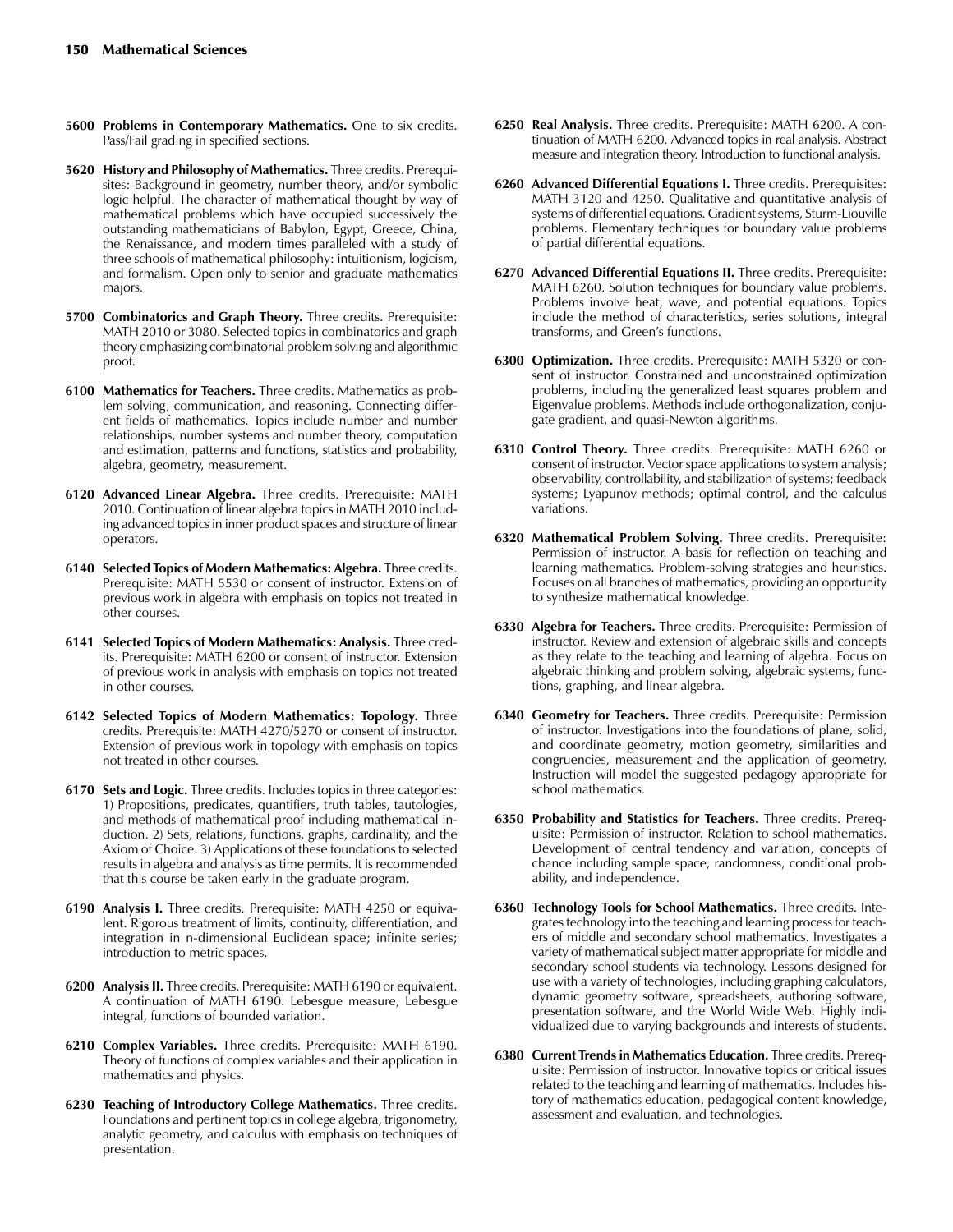- **5600 Problems in Contemporary Mathematics.** One to six credits. Pass/Fail grading in specified sections.
- **5620 History and Philosophy of Mathematics.** Three credits. Prerequisites: Background in geometry, number theory, and/or symbolic logic helpful. The character of mathematical thought by way of mathematical problems which have occupied successively the outstanding mathematicians of Babylon, Egypt, Greece, China, the Renaissance, and modern times paralleled with a study of three schools of mathematical philosophy: intuitionism, logicism, and formalism. Open only to senior and graduate mathematics majors.
- **5700 Combinatorics and Graph Theory.** Three credits. Prerequisite: MATH 2010 or 3080. Selected topics in combinatorics and graph theory emphasizing combinatorial problem solving and algorithmic proof.
- **6100 Mathematics for Teachers.** Three credits. Mathematics as problem solving, communication, and reasoning. Connecting different fields of mathematics. Topics include number and number relationships, number systems and number theory, computation and estimation, patterns and functions, statistics and probability, algebra, geometry, measurement.
- **6120 Advanced Linear Algebra.** Three credits. Prerequisite: MATH 2010. Continuation of linear algebra topics in MATH 2010 including advanced topics in inner product spaces and structure of linear operators.
- **6140 Selected Topics of Modern Mathematics: Algebra.** Three credits. Prerequisite: MATH 5530 or consent of instructor. Extension of previous work in algebra with emphasis on topics not treated in other courses.
- **6141 Selected Topics of Modern Mathematics: Analysis.** Three credits. Prerequisite: MATH 6200 or consent of instructor. Extension of previous work in analysis with emphasis on topics not treated in other courses.
- **6142 Selected Topics of Modern Mathematics: Topology.** Three credits. Prerequisite: MATH 4270/5270 or consent of instructor. Extension of previous work in topology with emphasis on topics not treated in other courses.
- **6170 Sets and Logic.** Three credits. Includes topics in three categories: 1) Propositions, predicates, quantifiers, truth tables, tautologies, and methods of mathematical proof including mathematical induction. 2) Sets, relations, functions, graphs, cardinality, and the Axiom of Choice. 3) Applications of these foundations to selected results in algebra and analysis as time permits. It is recommended that this course be taken early in the graduate program.
- **6190 Analysis I.** Three credits. Prerequisite: MATH 4250 or equivalent. Rigorous treatment of limits, continuity, differentiation, and integration in n-dimensional Euclidean space; infinite series; introduction to metric spaces.
- **6200 Analysis II.** Three credits. Prerequisite: MATH 6190 or equivalent. A continuation of MATH 6190. Lebesgue measure, Lebesgue integral, functions of bounded variation.
- **6210 Complex Variables.** Three credits. Prerequisite: MATH 6190. Theory of functions of complex variables and their application in mathematics and physics.
- **6230 Teaching of Introductory College Mathematics.** Three credits. Foundations and pertinent topics in college algebra, trigonometry, analytic geometry, and calculus with emphasis on techniques of presentation.
- **6250 Real Analysis.** Three credits. Prerequisite: MATH 6200. A continuation of MATH 6200. Advanced topics in real analysis. Abstract measure and integration theory. Introduction to functional analysis.
- **6260 Advanced Differential Equations I.** Three credits. Prerequisites: MATH 3120 and 4250. Qualitative and quantitative analysis of systems of differential equations. Gradient systems, Sturm-Liouville problems. Elementary techniques for boundary value problems of partial differential equations.
- **6270 Advanced Differential Equations II.** Three credits. Prerequisite: MATH 6260. Solution techniques for boundary value problems. Problems involve heat, wave, and potential equations. Topics include the method of characteristics, series solutions, integral transforms, and Green's functions.
- **6300 Optimization.** Three credits. Prerequisite: MATH 5320 or consent of instructor. Constrained and unconstrained optimization problems, including the generalized least squares problem and Eigenvalue problems. Methods include orthogonalization, conjugate gradient, and quasi-Newton algorithms.
- **6310 Control Theory.** Three credits. Prerequisite: MATH 6260 or consent of instructor. Vector space applications to system analysis; observability, controllability, and stabilization of systems; feedback systems; Lyapunov methods; optimal control, and the calculus variations.
- **6320 Mathematical Problem Solving.** Three credits. Prerequisite: Permission of instructor. A basis for reflection on teaching and learning mathematics. Problem-solving strategies and heuristics. Focuses on all branches of mathematics, providing an opportunity to synthesize mathematical knowledge.
- **6330 Algebra for Teachers.** Three credits. Prerequisite: Permission of instructor. Review and extension of algebraic skills and concepts as they relate to the teaching and learning of algebra. Focus on algebraic thinking and problem solving, algebraic systems, functions, graphing, and linear algebra.
- **6340 Geometry for Teachers.** Three credits. Prerequisite: Permission of instructor. Investigations into the foundations of plane, solid, and coordinate geometry, motion geometry, similarities and congruencies, measurement and the application of geometry. Instruction will model the suggested pedagogy appropriate for school mathematics.
- **6350 Probability and Statistics for Teachers.** Three credits. Prerequisite: Permission of instructor. Relation to school mathematics. Development of central tendency and variation, concepts of chance including sample space, randomness, conditional probability, and independence.
- **6360 Technology Tools for School Mathematics.** Three credits. Integrates technology into the teaching and learning process for teachers of middle and secondary school mathematics. Investigates a variety of mathematical subject matter appropriate for middle and secondary school students via technology. Lessons designed for use with a variety of technologies, including graphing calculators, dynamic geometry software, spreadsheets, authoring software, presentation software, and the World Wide Web. Highly individualized due to varying backgrounds and interests of students.
- **6380 Current Trends in Mathematics Education.** Three credits. Prerequisite: Permission of instructor. Innovative topics or critical issues related to the teaching and learning of mathematics. Includes history of mathematics education, pedagogical content knowledge, assessment and evaluation, and technologies.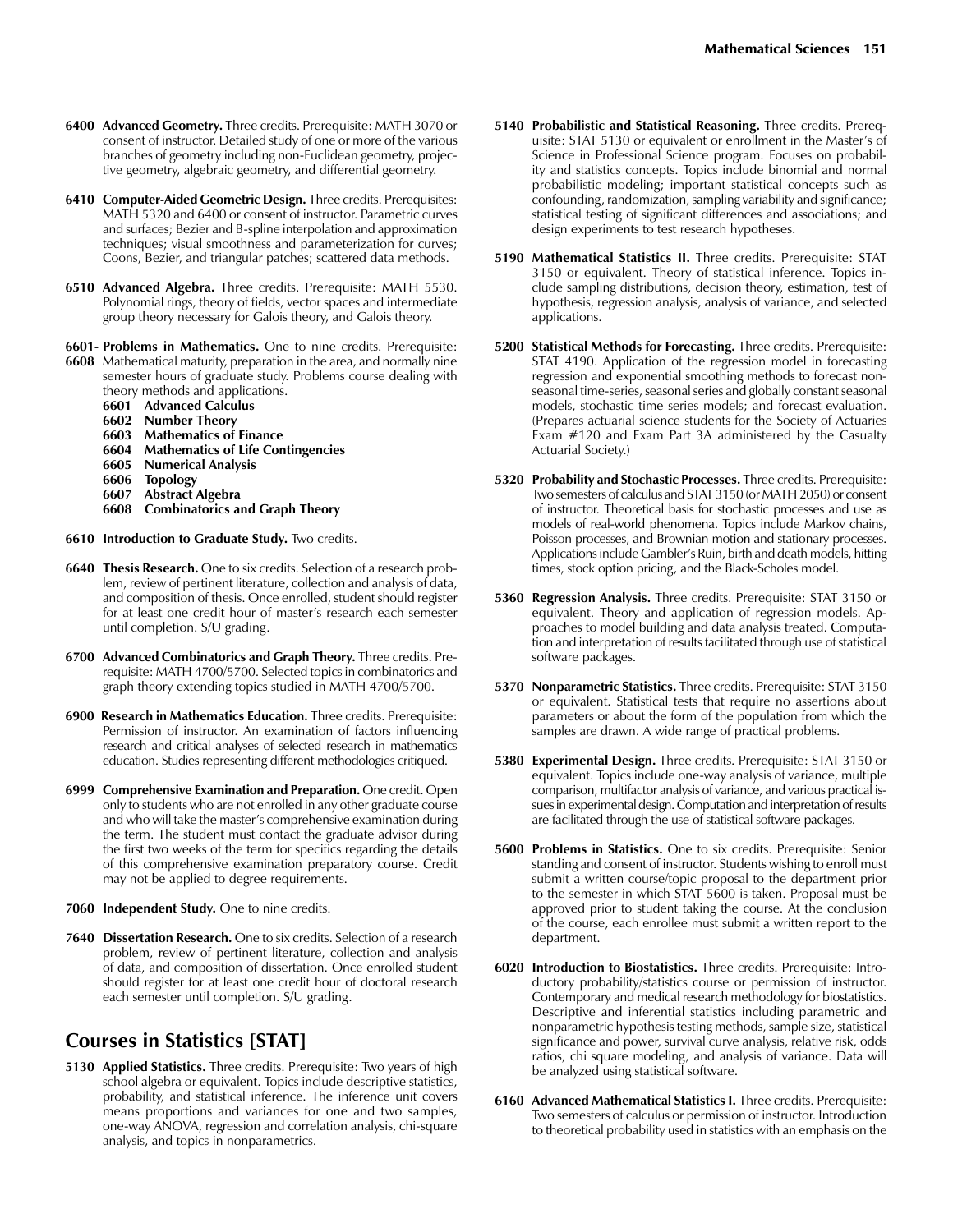- **6400 Advanced Geometry.** Three credits. Prerequisite: MATH 3070 or consent of instructor. Detailed study of one or more of the various branches of geometry including non-Euclidean geometry, projective geometry, algebraic geometry, and differential geometry.
- **6410 Computer-Aided Geometric Design.** Three credits. Prerequisites: MATH 5320 and 6400 or consent of instructor. Parametric curves and surfaces; Bezier and B-spline interpolation and approximation techniques; visual smoothness and parameterization for curves; Coons, Bezier, and triangular patches; scattered data methods.
- **6510 Advanced Algebra.** Three credits. Prerequisite: MATH 5530. Polynomial rings, theory of fields, vector spaces and intermediate group theory necessary for Galois theory, and Galois theory.
- **6601- Problems in Mathematics.** One to nine credits. Prerequisite:
- **6608** Mathematical maturity, preparation in the area, and normally nine semester hours of graduate study. Problems course dealing with theory methods and applications.
	- **6601 Advanced Calculus**
	-
	- **6602 Number Theory 6603 Mathematics of Finance**
	- **6604 Mathematics of Life Contingencies**
	- **6605 Numerical Analysis**
	- **6606 Topology**
	- **6607 Abstract Algebra**
	- **6608 Combinatorics and Graph Theory**
- **6610 Introduction to Graduate Study.** Two credits.
- **6640 Thesis Research.** One to six credits. Selection of a research problem, review of pertinent literature, collection and analysis of data, and composition of thesis. Once enrolled, student should register for at least one credit hour of master's research each semester until completion. S/U grading.
- **6700 Advanced Combinatorics and Graph Theory.** Three credits. Prerequisite: MATH 4700/5700. Selected topics in combinatorics and graph theory extending topics studied in MATH 4700/5700.
- **6900 Research in Mathematics Education.** Three credits. Prerequisite: Permission of instructor. An examination of factors influencing research and critical analyses of selected research in mathematics education. Studies representing different methodologies critiqued.
- **6999 Comprehensive Examination and Preparation.** One credit. Open only to students who are not enrolled in any other graduate course and who will take the master's comprehensive examination during the term. The student must contact the graduate advisor during the first two weeks of the term for specifics regarding the details of this comprehensive examination preparatory course. Credit may not be applied to degree requirements.
- **7060 Independent Study.** One to nine credits.
- **7640 Dissertation Research.** One to six credits. Selection of a research problem, review of pertinent literature, collection and analysis of data, and composition of dissertation. Once enrolled student should register for at least one credit hour of doctoral research each semester until completion. S/U grading.

# **Courses in Statistics [STAT]**

**5130 Applied Statistics.** Three credits. Prerequisite: Two years of high school algebra or equivalent. Topics include descriptive statistics, probability, and statistical inference. The inference unit covers means proportions and variances for one and two samples, one-way ANOVA, regression and correlation analysis, chi-square analysis, and topics in nonparametrics.

- **5140 Probabilistic and Statistical Reasoning.** Three credits. Prerequisite: STAT 5130 or equivalent or enrollment in the Master's of Science in Professional Science program. Focuses on probability and statistics concepts. Topics include binomial and normal probabilistic modeling; important statistical concepts such as confounding, randomization, sampling variability and significance; statistical testing of significant differences and associations; and design experiments to test research hypotheses.
- **5190 Mathematical Statistics II.** Three credits. Prerequisite: STAT 3150 or equivalent. Theory of statistical inference. Topics include sampling distributions, decision theory, estimation, test of hypothesis, regression analysis, analysis of variance, and selected applications.
- **5200 Statistical Methods for Forecasting.** Three credits. Prerequisite: STAT 4190. Application of the regression model in forecasting regression and exponential smoothing methods to forecast nonseasonal time-series, seasonal series and globally constant seasonal models, stochastic time series models; and forecast evaluation. (Prepares actuarial science students for the Society of Actuaries Exam #120 and Exam Part 3A administered by the Casualty Actuarial Society.)
- **5320 Probability and Stochastic Processes.** Three credits. Prerequisite: Two semesters of calculus and STAT 3150 (or MATH 2050) or consent of instructor. Theoretical basis for stochastic processes and use as models of real-world phenomena. Topics include Markov chains, Poisson processes, and Brownian motion and stationary processes. Applications include Gambler's Ruin, birth and death models, hitting times, stock option pricing, and the Black-Scholes model.
- **5360 Regression Analysis.** Three credits. Prerequisite: STAT 3150 or equivalent. Theory and application of regression models. Approaches to model building and data analysis treated. Computation and interpretation of results facilitated through use of statistical software packages.
- **5370 Nonparametric Statistics.** Three credits. Prerequisite: STAT 3150 or equivalent. Statistical tests that require no assertions about parameters or about the form of the population from which the samples are drawn. A wide range of practical problems.
- **5380 Experimental Design.** Three credits. Prerequisite: STAT 3150 or equivalent. Topics include one-way analysis of variance, multiple comparison, multifactor analysis of variance, and various practical issues in experimental design. Computation and interpretation of results are facilitated through the use of statistical software packages.
- **5600 Problems in Statistics.** One to six credits. Prerequisite: Senior standing and consent of instructor. Students wishing to enroll must submit a written course/topic proposal to the department prior to the semester in which STAT 5600 is taken. Proposal must be approved prior to student taking the course. At the conclusion of the course, each enrollee must submit a written report to the department.
- **6020 Introduction to Biostatistics.** Three credits. Prerequisite: Introductory probability/statistics course or permission of instructor. Contemporary and medical research methodology for biostatistics. Descriptive and inferential statistics including parametric and nonparametric hypothesis testing methods, sample size, statistical significance and power, survival curve analysis, relative risk, odds ratios, chi square modeling, and analysis of variance. Data will be analyzed using statistical software.
- **6160 Advanced Mathematical Statistics I.** Three credits. Prerequisite: Two semesters of calculus or permission of instructor. Introduction to theoretical probability used in statistics with an emphasis on the